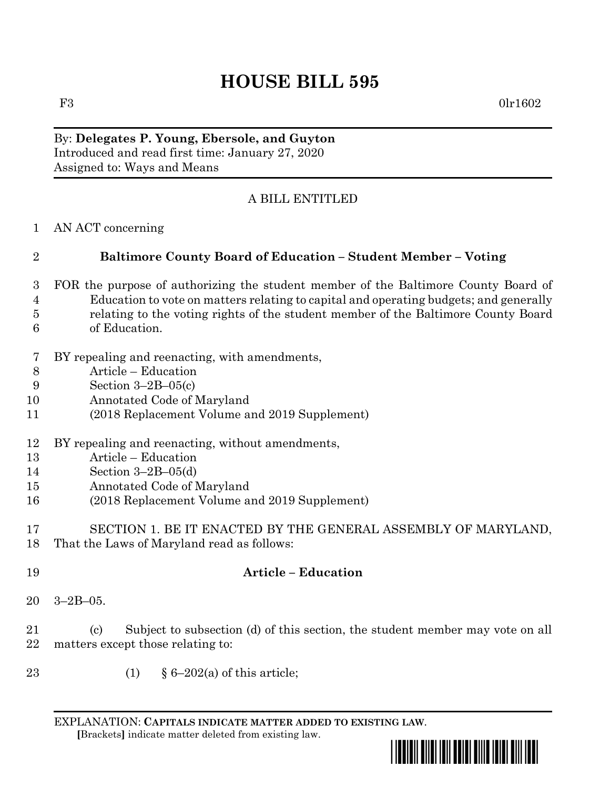## **HOUSE BILL 595**

F3 0lr1602

## By: **Delegates P. Young, Ebersole, and Guyton** Introduced and read first time: January 27, 2020 Assigned to: Ways and Means

## A BILL ENTITLED

AN ACT concerning

## **Baltimore County Board of Education – Student Member – Voting**

- FOR the purpose of authorizing the student member of the Baltimore County Board of Education to vote on matters relating to capital and operating budgets; and generally relating to the voting rights of the student member of the Baltimore County Board of Education.
- BY repealing and reenacting, with amendments,
- Article Education
- Section 3–2B–05(c)
- Annotated Code of Maryland
- (2018 Replacement Volume and 2019 Supplement)
- BY repealing and reenacting, without amendments,
- Article Education
- Section 3–2B–05(d)
- Annotated Code of Maryland
- (2018 Replacement Volume and 2019 Supplement)
- SECTION 1. BE IT ENACTED BY THE GENERAL ASSEMBLY OF MARYLAND, That the Laws of Maryland read as follows:
- **Article – Education**
- 3–2B–05.

 (c) Subject to subsection (d) of this section, the student member may vote on all matters except those relating to:

23 (1)  $§ 6-202(a)$  of this article;

EXPLANATION: **CAPITALS INDICATE MATTER ADDED TO EXISTING LAW**.  **[**Brackets**]** indicate matter deleted from existing law.